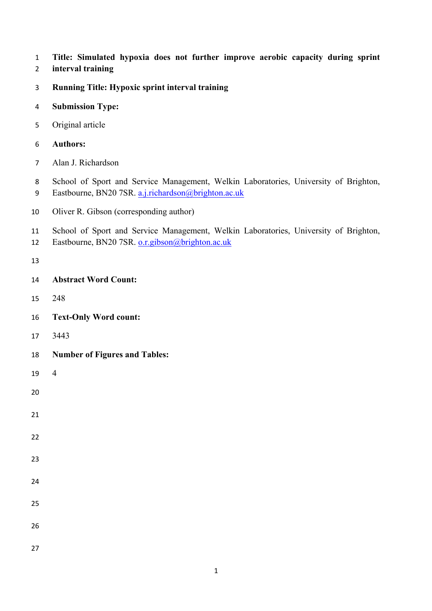- **Title: Simulated hypoxia does not further improve aerobic capacity during sprint**
- **interval training**
- **Running Title: Hypoxic sprint interval training**
- **Submission Type:**
- Original article
- **Authors:**
- Alan J. Richardson
- School of Sport and Service Management, Welkin Laboratories, University of Brighton, Eastbourne, BN20 7SR. a.j.richardson@brighton.ac.uk
- Oliver R. Gibson (corresponding author)
- School of Sport and Service Management, Welkin Laboratories, University of Brighton,
- Eastbourne, BN20 7SR. o.r.gibson@brighton.ac.uk
- 
- **Abstract Word Count:**
- 248
- **Text-Only Word count:**
- 3443
- **Number of Figures and Tables:**
- 

- 
- 
- 
- 
- 
- 
- 
- 
- 
-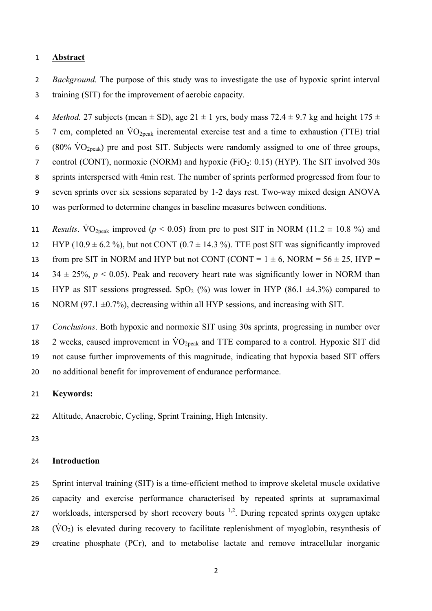#### 1 **Abstract**

2 *Background.* The purpose of this study was to investigate the use of hypoxic sprint interval 3 training (SIT) for the improvement of aerobic capacity.

4 *Method.* 27 subjects (mean  $\pm$  SD), age 21  $\pm$  1 yrs, body mass 72.4  $\pm$  9.7 kg and height 175  $\pm$ 5 7 cm, completed an  $\rm \dot{V}O_{2peak}$  incremental exercise test and a time to exhaustion (TTE) trial 6 (80%  $\rm\acute{V}O_{2peak}$ ) pre and post SIT. Subjects were randomly assigned to one of three groups, 7 control (CONT), normoxic (NORM) and hypoxic (FiO<sub>2</sub>: 0.15) (HYP). The SIT involved 30s 8 sprints interspersed with 4min rest. The number of sprints performed progressed from four to 9 seven sprints over six sessions separated by 1-2 days rest. Two-way mixed design ANOVA 10 was performed to determine changes in baseline measures between conditions.

11 *Results*. VO<sub>2peak</sub> improved ( $p < 0.05$ ) from pre to post SIT in NORM (11.2  $\pm$  10.8 %) and 12 HYP (10.9  $\pm$  6.2 %), but not CONT (0.7  $\pm$  14.3 %). TTE post SIT was significantly improved 13 from pre SIT in NORM and HYP but not CONT (CONT =  $1 \pm 6$ , NORM =  $56 \pm 25$ , HYP = 14  $34 \pm 25\%$ ,  $p < 0.05$ ). Peak and recovery heart rate was significantly lower in NORM than 15 HYP as SIT sessions progressed. SpO<sub>2</sub> (%) was lower in HYP (86.1  $\pm$ 4.3%) compared to 16 NORM (97.1  $\pm$ 0.7%), decreasing within all HYP sessions, and increasing with SIT.

 *Conclusions*. Both hypoxic and normoxic SIT using 30s sprints, progressing in number over 18 2 weeks, caused improvement in  $\rm \dot{VO}_{2peak}$  and TTE compared to a control. Hypoxic SIT did not cause further improvements of this magnitude, indicating that hypoxia based SIT offers no additional benefit for improvement of endurance performance.

## 21 **Keywords:**

22 Altitude, Anaerobic, Cycling, Sprint Training, High Intensity.

23

#### 24 **Introduction**

 Sprint interval training (SIT) is a time-efficient method to improve skeletal muscle oxidative capacity and exercise performance characterised by repeated sprints at supramaximal 27 workloads, interspersed by short recovery bouts  $1,2$ . During repeated sprints oxygen uptake (VO<sub>2</sub>) is elevated during recovery to facilitate replenishment of myoglobin, resynthesis of creatine phosphate (PCr), and to metabolise lactate and remove intracellular inorganic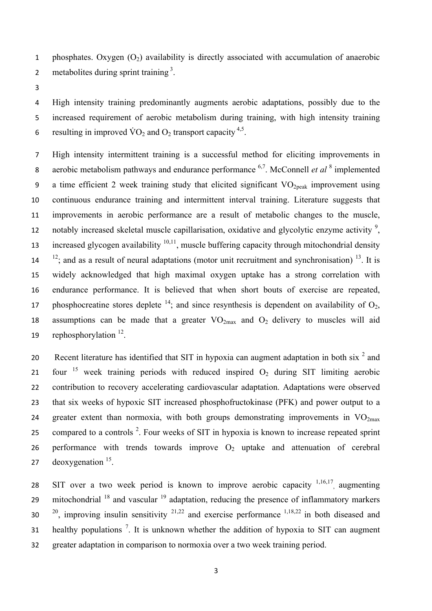1 phosphates. Oxygen  $(O_2)$  availability is directly associated with accumulation of anaerobic 2 metabolites during sprint training  $3$ .

3

4 High intensity training predominantly augments aerobic adaptations, possibly due to the 5 increased requirement of aerobic metabolism during training, with high intensity training 6 resulting in improved  $\rm\dot{VO}_2$  and  $\rm O_2$  transport capacity <sup>4,5</sup>.

7 High intensity intermittent training is a successful method for eliciting improvements in aerobic metabolism pathways and endurance performance <sup>6,7</sup>. McConnell *et al* <sup>8</sup> implemented 9 a time efficient 2 week training study that elicited significant  $VO<sub>2peak</sub>$  improvement using 10 continuous endurance training and intermittent interval training. Literature suggests that 11 improvements in aerobic performance are a result of metabolic changes to the muscle, notably increased skeletal muscle capillarisation, oxidative and glycolytic enzyme activity  $\frac{9}{2}$ , increased glycogen availability  $10,11$ , muscle buffering capacity through mitochondrial density  $14 \frac{12}{15}$ ; and as a result of neural adaptations (motor unit recruitment and synchronisation) <sup>13</sup>. It is 15 widely acknowledged that high maximal oxygen uptake has a strong correlation with 16 endurance performance. It is believed that when short bouts of exercise are repeated, 17 phosphocreatine stores deplete  $14$ ; and since resynthesis is dependent on availability of  $O_2$ , 18 assumptions can be made that a greater  $VO_{2max}$  and  $O_2$  delivery to muscles will aid 19 rephosphorylation  $12$ .

20 Recent literature has identified that SIT in hypoxia can augment adaptation in both six  $2^2$  and 21 four  $15$  week training periods with reduced inspired  $O_2$  during SIT limiting aerobic 22 contribution to recovery accelerating cardiovascular adaptation. Adaptations were observed 23 that six weeks of hypoxic SIT increased phosphofructokinase (PFK) and power output to a 24 greater extent than normoxia, with both groups demonstrating improvements in  $VO_{2max}$ 25 compared to a controls<sup>2</sup>. Four weeks of SIT in hypoxia is known to increase repeated sprint 26 performance with trends towards improve  $O_2$  uptake and attenuation of cerebral 27 deoxygenation  $15$ .

28 SIT over a two week period is known to improve aerobic capacity  $1,16,17$  augmenting 29 mitochondrial  $18$  and vascular  $19$  adaptation, reducing the presence of inflammatory markers  $20^{20}$ , improving insulin sensitivity  $2^{1,22}$  and exercise performance  $1,18,22$  in both diseased and 31 healthy populations  $\frac{7}{1}$ . It is unknown whether the addition of hypoxia to SIT can augment 32 greater adaptation in comparison to normoxia over a two week training period.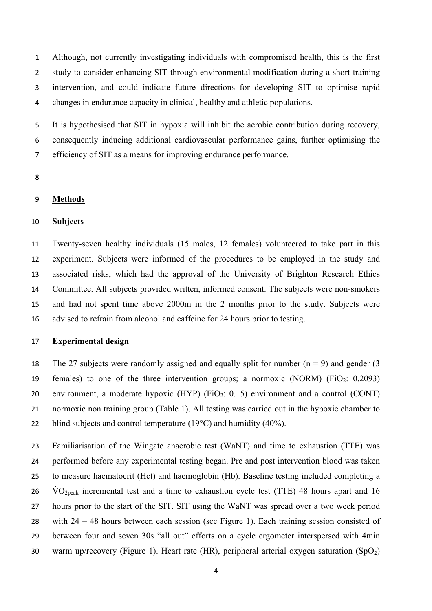Although, not currently investigating individuals with compromised health, this is the first study to consider enhancing SIT through environmental modification during a short training intervention, and could indicate future directions for developing SIT to optimise rapid changes in endurance capacity in clinical, healthy and athletic populations.

 It is hypothesised that SIT in hypoxia will inhibit the aerobic contribution during recovery, consequently inducing additional cardiovascular performance gains, further optimising the efficiency of SIT as a means for improving endurance performance.

#### **Methods**

## **Subjects**

 Twenty-seven healthy individuals (15 males, 12 females) volunteered to take part in this experiment. Subjects were informed of the procedures to be employed in the study and associated risks, which had the approval of the University of Brighton Research Ethics Committee. All subjects provided written, informed consent. The subjects were non-smokers and had not spent time above 2000m in the 2 months prior to the study. Subjects were advised to refrain from alcohol and caffeine for 24 hours prior to testing.

#### **Experimental design**

18 The 27 subjects were randomly assigned and equally split for number  $(n = 9)$  and gender (3) 19 females) to one of the three intervention groups; a normoxic (NORM) (FiO<sub>2</sub>: 0.2093) 20 environment, a moderate hypoxic  $(HYP)$  (FiO<sub>2</sub>: 0.15) environment and a control (CONT) normoxic non training group (Table 1). All testing was carried out in the hypoxic chamber to 22 blind subjects and control temperature  $(19^{\circ}C)$  and humidity  $(40\%)$ .

 Familiarisation of the Wingate anaerobic test (WaNT) and time to exhaustion (TTE) was performed before any experimental testing began. Pre and post intervention blood was taken to measure haematocrit (Hct) and haemoglobin (Hb). Baseline testing included completing a  $\dot{V}O_{2\text{peak}}$  incremental test and a time to exhaustion cycle test (TTE) 48 hours apart and 16 hours prior to the start of the SIT. SIT using the WaNT was spread over a two week period with 24 – 48 hours between each session (see Figure 1). Each training session consisted of between four and seven 30s "all out" efforts on a cycle ergometer interspersed with 4min 30 warm up/recovery (Figure 1). Heart rate (HR), peripheral arterial oxygen saturation  $(SpO<sub>2</sub>)$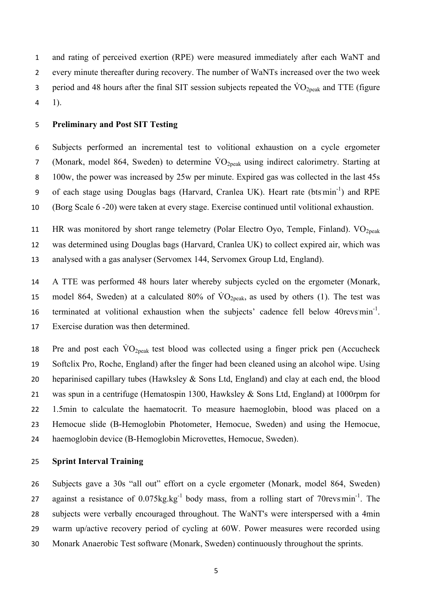and rating of perceived exertion (RPE) were measured immediately after each WaNT and every minute thereafter during recovery. The number of WaNTs increased over the two week 3 period and 48 hours after the final SIT session subjects repeated the  $\rm \dot{VO}_{2peak}$  and TTE (figure 1).

#### **Preliminary and Post SIT Testing**

 Subjects performed an incremental test to volitional exhaustion on a cycle ergometer 7 (Monark, model 864, Sweden) to determine  $\rm \dot{VO}_{2peak}$  using indirect calorimetry. Starting at 100w, the power was increased by 25w per minute. Expired gas was collected in the last 45s 9 of each stage using Douglas bags (Harvard, Cranlea UK). Heart rate (btsmin<sup>-1</sup>) and RPE (Borg Scale 6 -20) were taken at every stage. Exercise continued until volitional exhaustion.

11 HR was monitored by short range telemetry (Polar Electro Oyo, Temple, Finland).  $VO<sub>2peak</sub>$  was determined using Douglas bags (Harvard, Cranlea UK) to collect expired air, which was analysed with a gas analyser (Servomex 144, Servomex Group Ltd, England).

 A TTE was performed 48 hours later whereby subjects cycled on the ergometer (Monark, 15 model 864, Sweden) at a calculated 80% of  $\rm \dot{VO}_{2peak}$ , as used by others (1). The test was 16 terminated at volitional exhaustion when the subjects' cadence fell below revs $min^{-1}$ . Exercise duration was then determined.

18 Pre and post each  $\rm \dot{V}O_{2peak}$  test blood was collected using a finger prick pen (Accucheck Softclix Pro, Roche, England) after the finger had been cleaned using an alcohol wipe. Using 20 heparinised capillary tubes (Hawksley  $\&$  Sons Ltd, England) and clay at each end, the blood was spun in a centrifuge (Hematospin 1300, Hawksley & Sons Ltd, England) at 1000rpm for 1.5min to calculate the haematocrit. To measure haemoglobin, blood was placed on a Hemocue slide (B-Hemoglobin Photometer, Hemocue, Sweden) and using the Hemocue, haemoglobin device (B-Hemoglobin Microvettes, Hemocue, Sweden).

## **Sprint Interval Training**

 Subjects gave a 30s "all out" effort on a cycle ergometer (Monark, model 864, Sweden) 27 against a resistance of  $0.075 \text{kg/kg}^{-1}$  body mass, from a rolling start of 70revs: min<sup>-1</sup>. The subjects were verbally encouraged throughout. The WaNT's were interspersed with a 4min warm up/active recovery period of cycling at 60W. Power measures were recorded using Monark Anaerobic Test software (Monark, Sweden) continuously throughout the sprints.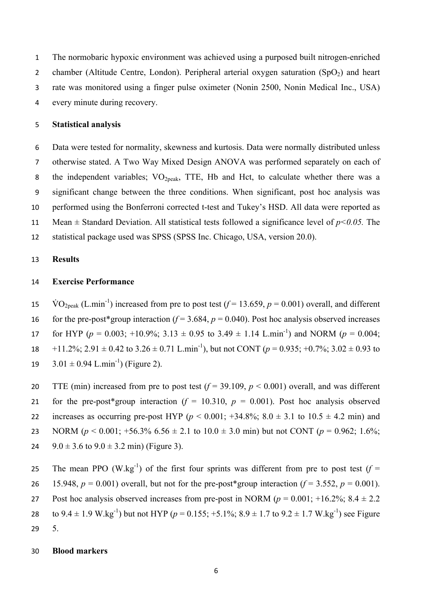The normobaric hypoxic environment was achieved using a purposed built nitrogen-enriched 2 chamber (Altitude Centre, London). Peripheral arterial oxygen saturation  $(SpO<sub>2</sub>)$  and heart rate was monitored using a finger pulse oximeter (Nonin 2500, Nonin Medical Inc., USA) every minute during recovery.

#### 5 **Statistical analysis**

 Data were tested for normality, skewness and kurtosis. Data were normally distributed unless otherwise stated. A Two Way Mixed Design ANOVA was performed separately on each of 8 the independent variables; VO<sub>2peak</sub>, TTE, Hb and Hct, to calculate whether there was a significant change between the three conditions. When significant, post hoc analysis was performed using the Bonferroni corrected t-test and Tukey's HSD. All data were reported as Mean ± Standard Deviation. All statistical tests followed a significance level of *p<0.05.* The statistical package used was SPSS (SPSS Inc. Chicago, USA, version 20.0).

## 13 **Results**

#### 14 **Exercise Performance**

15  $\text{VO}_{2\text{peak}}$  (L.min<sup>-1</sup>) increased from pre to post test ( $f = 13.659$ ,  $p = 0.001$ ) overall, and different

16 for the pre-post\*group interaction  $(f = 3.684, p = 0.040)$ . Post hoc analysis observed increases for HYP ( $p = 0.003$ ; +10.9%; 3.13  $\pm$  0.95 to 3.49  $\pm$  1.14 L.min<sup>-1</sup>) and NORM ( $p = 0.004$ ;

18 +11.2%; 2.91  $\pm$  0.42 to 3.26  $\pm$  0.71 L.min<sup>-1</sup>), but not CONT ( $p = 0.935$ ; +0.7%; 3.02  $\pm$  0.93 to

19  $3.01 \pm 0.94$  L.min<sup>-1</sup>) (Figure 2).

20 TTE (min) increased from pre to post test  $(f = 39.109, p < 0.001)$  overall, and was different 21 for the pre-post\*group interaction  $(f = 10.310, p = 0.001)$ . Post hoc analysis observed 22 increases as occurring pre-post HYP ( $p < 0.001$ ; +34.8%;  $8.0 \pm 3.1$  to  $10.5 \pm 4.2$  min) and 23 NORM ( $p < 0.001$ ; +56.3% 6.56 ± 2.1 to 10.0 ± 3.0 min) but not CONT ( $p = 0.962$ ; 1.6%; 24  $9.0 \pm 3.6$  to  $9.0 \pm 3.2$  min) (Figure 3).

25 The mean PPO (W.kg<sup>-1</sup>) of the first four sprints was different from pre to post test ( $f =$ 26 15.948,  $p = 0.001$ ) overall, but not for the pre-post\*group interaction ( $f = 3.552$ ,  $p = 0.001$ ). 27 Post hoc analysis observed increases from pre-post in NORM ( $p = 0.001$ ; +16.2%;  $8.4 \pm 2.2$ ) 28 to  $9.4 \pm 1.9$  W.kg<sup>-1</sup>) but not HYP ( $p = 0.155$ ; +5.1%;  $8.9 \pm 1.7$  to  $9.2 \pm 1.7$  W.kg<sup>-1</sup>) see Figure 29 5.

#### 30 **Blood markers**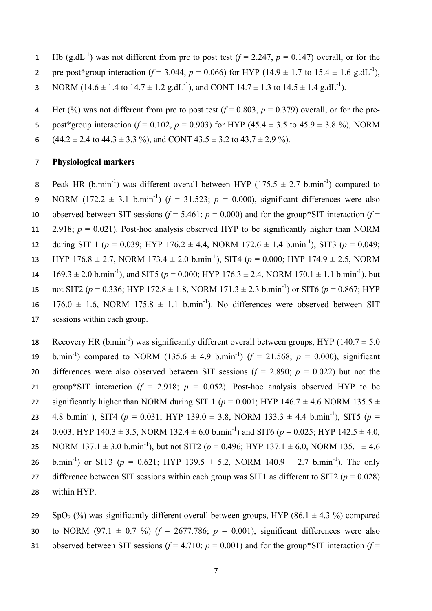- 1 Hb (g.dL<sup>-1</sup>) was not different from pre to post test ( $f = 2.247$ ,  $p = 0.147$ ) overall, or for the
- 2 ore-post\*group interaction  $(f = 3.044, p = 0.066)$  for HYP  $(14.9 \pm 1.7 \text{ to } 15.4 \pm 1.6 \text{ g.dL}^{-1})$ .
- 3 NORM (14.6  $\pm$  1.4 to 14.7  $\pm$  1.2 g.dL<sup>-1</sup>), and CONT 14.7  $\pm$  1.3 to 14.5  $\pm$  1.4 g.dL<sup>-1</sup>).
- 4 Hct (%) was not different from pre to post test  $(f = 0.803, p = 0.379)$  overall, or for the pre-
- 5 post\*group interaction ( $f = 0.102$ ,  $p = 0.903$ ) for HYP ( $45.4 \pm 3.5$  to  $45.9 \pm 3.8$ %), NORM
- 6 (44.2  $\pm$  2.4 to 44.3  $\pm$  3.3 %), and CONT 43.5  $\pm$  3.2 to 43.7  $\pm$  2.9 %).

#### 7 **Physiological markers**

- 8 Peak HR (b.min<sup>-1</sup>) was different overall between HYP (175.5  $\pm$  2.7 b.min<sup>-1</sup>) compared to 9 NORM (172.2  $\pm$  3.1 b.min<sup>-1</sup>) ( $f = 31.523$ ;  $p = 0.000$ ), significant differences were also 10 observed between SIT sessions  $(f = 5.461; p = 0.000)$  and for the group\*SIT interaction  $(f = 1.461; p = 0.000)$ 11 2.918;  $p = 0.021$ ). Post-hoc analysis observed HYP to be significantly higher than NORM 12 during SIT 1 ( $p = 0.039$ ; HYP 176.2  $\pm$  4.4, NORM 172.6  $\pm$  1.4 b.min<sup>-1</sup>), SIT3 ( $p = 0.049$ ; 13 HYP 176.8  $\pm$  2.7, NORM 173.4  $\pm$  2.0 b.min<sup>-1</sup>), SIT4 ( $p = 0.000$ ; HYP 174.9  $\pm$  2.5, NORM 14 169.3 ± 2.0 b.min<sup>-1</sup>), and SIT5 ( $p = 0.000$ ; HYP 176.3 ± 2.4, NORM 170.1 ± 1.1 b.min<sup>-1</sup>), but not SIT2 ( $p = 0.336$ ; HYP 172.8  $\pm$  1.8, NORM 171.3  $\pm$  2.3 b.min<sup>-1</sup>) or SIT6 ( $p = 0.867$ ; HYP 16  $176.0 \pm 1.6$ , NORM  $175.8 \pm 1.1$  b.min<sup>-1</sup>). No differences were observed between SIT 17 sessions within each group.
- 18 Recovery HR (b.min<sup>-1</sup>) was significantly different overall between groups, HYP (140.7  $\pm$  5.0 19 b.min<sup>-1</sup>) compared to NORM (135.6  $\pm$  4.9 b.min<sup>-1</sup>) ( $f = 21.568$ ;  $p = 0.000$ ), significant 20 differences were also observed between SIT sessions  $(f = 2.890; p = 0.022)$  but not the 21 group\*SIT interaction  $(f = 2.918; p = 0.052)$ . Post-hoc analysis observed HYP to be 22 significantly higher than NORM during SIT 1 ( $p = 0.001$ ; HYP 146.7  $\pm$  4.6 NORM 135.5  $\pm$ 23 4.8 b.min<sup>-1</sup>), SIT4 ( $p = 0.031$ ; HYP 139.0  $\pm$  3.8, NORM 133.3  $\pm$  4.4 b.min<sup>-1</sup>), SIT5 ( $p =$ 24 0.003; HYP 140.3  $\pm$  3.5, NORM 132.4  $\pm$  6.0 b.min<sup>-1</sup>) and SIT6 ( $p = 0.025$ ; HYP 142.5  $\pm$  4.0, NORM 137.1  $\pm$  3.0 b.min<sup>-1</sup>), but not SIT2 ( $p = 0.496$ ; HYP 137.1  $\pm$  6.0, NORM 135.1  $\pm$  4.6 26 b.min<sup>-1</sup>) or SIT3 ( $p = 0.621$ ; HYP 139.5  $\pm$  5.2, NORM 140.9  $\pm$  2.7 b.min<sup>-1</sup>). The only 27 difference between SIT sessions within each group was SIT1 as different to SIT2 ( $p = 0.028$ ) 28 within HYP.
- 29 SpO<sub>2</sub> (%) was significantly different overall between groups, HYP (86.1  $\pm$  4.3 %) compared 30 to NORM (97.1  $\pm$  0.7 %) ( $f = 2677.786$ ;  $p = 0.001$ ), significant differences were also 31 observed between SIT sessions  $(f = 4.710; p = 0.001)$  and for the group\*SIT interaction  $(f = 1.710; p = 0.001)$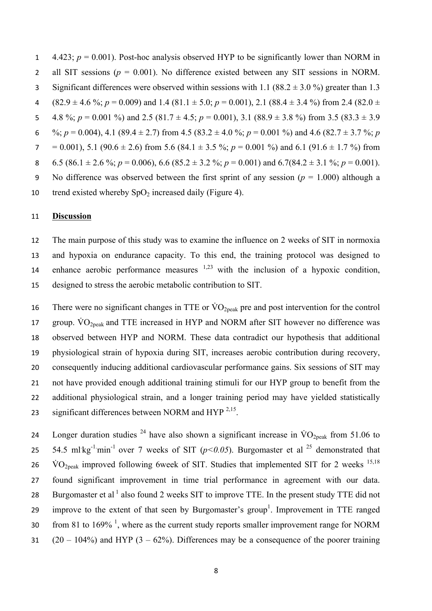1 4.423;  $p = 0.001$ ). Post-hoc analysis observed HYP to be significantly lower than NORM in 2 all SIT sessions (*p* = 0.001). No difference existed between any SIT sessions in NORM. 3 Significant differences were observed within sessions with 1.1 (88.2  $\pm$  3.0 %) greater than 1.3 4 (82.9  $\pm$  4.6 %; *p* = 0.009) and 1.4 (81.1  $\pm$  5.0; *p* = 0.001), 2.1 (88.4  $\pm$  3.4 %) from 2.4 (82.0  $\pm$ 5 4.8 %;  $p = 0.001$  %) and 2.5 (81.7 ± 4.5;  $p = 0.001$ ), 3.1 (88.9 ± 3.8 %) from 3.5 (83.3 ± 3.9 6 %;  $p = 0.004$ , 4.1 (89.4 ± 2.7) from 4.5 (83.2 ± 4.0 %;  $p = 0.001$  %) and 4.6 (82.7 ± 3.7 %; *p* 7 = 0.001), 5.1 (90.6  $\pm$  2.6) from 5.6 (84.1  $\pm$  3.5 %; *p* = 0.001 %) and 6.1 (91.6  $\pm$  1.7 %) from 8 6.5 (86.1 ± 2.6 %; *p* = 0.006), 6.6 (85.2 ± 3.2 %; *p* = 0.001) and 6.7(84.2 ± 3.1 %; *p* = 0.001). 9 No difference was observed between the first sprint of any session  $(p = 1.000)$  although a 10 trend existed whereby  $SpO<sub>2</sub>$  increased daily (Figure 4).

#### 11 **Discussion**

 The main purpose of this study was to examine the influence on 2 weeks of SIT in normoxia and hypoxia on endurance capacity. To this end, the training protocol was designed to 14 enhance aerobic performance measures  $1,23$  with the inclusion of a hypoxic condition, designed to stress the aerobic metabolic contribution to SIT.

16 There were no significant changes in TTE or  $\rm \dot{V}O_{2\text{peak}}$  pre and post intervention for the control 17 group.  $\rm \dot{VO}_{2neak}$  and TTE increased in HYP and NORM after SIT however no difference was observed between HYP and NORM. These data contradict our hypothesis that additional physiological strain of hypoxia during SIT, increases aerobic contribution during recovery, consequently inducing additional cardiovascular performance gains. Six sessions of SIT may not have provided enough additional training stimuli for our HYP group to benefit from the additional physiological strain, and a longer training period may have yielded statistically 23 significant differences between NORM and HYP  $^{2,15}$ .

24 Longer duration studies <sup>24</sup> have also shown a significant increase in  $\rm{VO}_{2neak}$  from 51.06 to 25 54.5 ml kg<sup>-1.</sup>min<sup>-1</sup> over 7 weeks of SIT ( $p$ <0.05). Burgomaster et al <sup>25</sup> demonstrated that 26 VO<sub>2peak</sub> improved following 6week of SIT. Studies that implemented SIT for 2 weeks <sup>15,18</sup> 27 found significant improvement in time trial performance in agreement with our data. 28 Burgomaster et al  $<sup>1</sup>$  also found 2 weeks SIT to improve TTE. In the present study TTE did not</sup> 29 improve to the extent of that seen by Burgomaster's group<sup>1</sup>. Improvement in TTE ranged  $\sim$  61 to 169%  $\frac{1}{3}$ , where as the current study reports smaller improvement range for NORM 31  $(20 - 104\%)$  and HYP  $(3 - 62\%)$ . Differences may be a consequence of the poorer training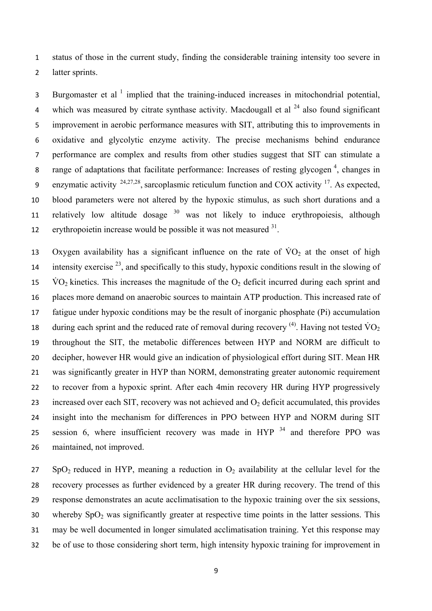status of those in the current study, finding the considerable training intensity too severe in latter sprints.

Burgomaster et al  $<sup>1</sup>$  implied that the training-induced increases in mitochondrial potential,</sup> 4 which was measured by citrate synthase activity. Macdougall et al  $^{24}$  also found significant improvement in aerobic performance measures with SIT, attributing this to improvements in oxidative and glycolytic enzyme activity. The precise mechanisms behind endurance performance are complex and results from other studies suggest that SIT can stimulate a 8 range of adaptations that facilitate performance: Increases of resting glycogen<sup>4</sup>, changes in enzymatic activity  $24,27,28$ , sarcoplasmic reticulum function and COX activity <sup>17</sup>. As expected, blood parameters were not altered by the hypoxic stimulus, as such short durations and a 11 relatively low altitude dosage was not likely to induce erythropoiesis, although 12 erythropoietin increase would be possible it was not measured .

13 Oxygen availability has a significant influence on the rate of  $\rm \dot{V}O_{2}$  at the onset of high intensity exercise  $^{23}$ , and specifically to this study, hypoxic conditions result in the slowing of  $\text{VO}_2$  kinetics. This increases the magnitude of the  $\text{O}_2$  deficit incurred during each sprint and places more demand on anaerobic sources to maintain ATP production. This increased rate of fatigue under hypoxic conditions may be the result of inorganic phosphate (Pi) accumulation 18 during each sprint and the reduced rate of removal during recovery  $^{(4)}$ . Having not tested VO<sub>2</sub> throughout the SIT, the metabolic differences between HYP and NORM are difficult to decipher, however HR would give an indication of physiological effort during SIT. Mean HR was significantly greater in HYP than NORM, demonstrating greater autonomic requirement to recover from a hypoxic sprint. After each 4min recovery HR during HYP progressively 23 increased over each SIT, recovery was not achieved and  $O<sub>2</sub>$  deficit accumulated, this provides insight into the mechanism for differences in PPO between HYP and NORM during SIT 25 session 6, where insufficient recovery was made in  $HYP<sup>34</sup>$  and therefore PPO was maintained, not improved.

 SpO<sub>2</sub> reduced in HYP, meaning a reduction in O<sub>2</sub> availability at the cellular level for the recovery processes as further evidenced by a greater HR during recovery. The trend of this response demonstrates an acute acclimatisation to the hypoxic training over the six sessions, 30 whereby  $SpO<sub>2</sub>$  was significantly greater at respective time points in the latter sessions. This may be well documented in longer simulated acclimatisation training. Yet this response may be of use to those considering short term, high intensity hypoxic training for improvement in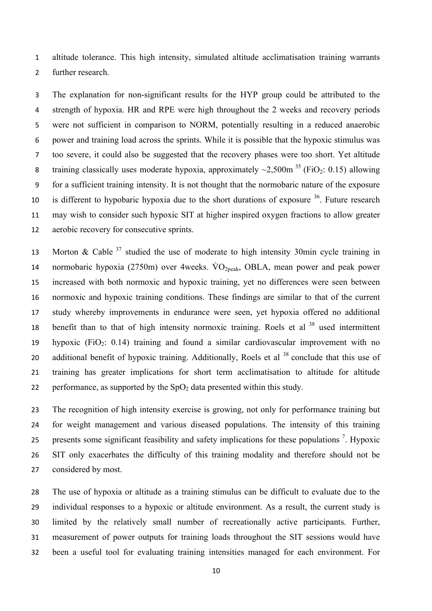altitude tolerance. This high intensity, simulated altitude acclimatisation training warrants further research.

 The explanation for non-significant results for the HYP group could be attributed to the strength of hypoxia. HR and RPE were high throughout the 2 weeks and recovery periods were not sufficient in comparison to NORM, potentially resulting in a reduced anaerobic power and training load across the sprints. While it is possible that the hypoxic stimulus was too severe, it could also be suggested that the recovery phases were too short. Yet altitude 8 training classically uses moderate hypoxia, approximately  $\sim$ 2,500m<sup>35</sup> (FiO<sub>2</sub>: 0.15) allowing for a sufficient training intensity. It is not thought that the normobaric nature of the exposure 10 is different to hypobaric hypoxia due to the short durations of exposure . Future research may wish to consider such hypoxic SIT at higher inspired oxygen fractions to allow greater aerobic recovery for consecutive sprints.

13 Morton & Cable studied the use of moderate to high intensity 30min cycle training in 14 normobaric hypoxia (2750m) over 4weeks.  $\rm \dot{V}O_{2neak}$ , OBLA, mean power and peak power increased with both normoxic and hypoxic training, yet no differences were seen between normoxic and hypoxic training conditions. These findings are similar to that of the current study whereby improvements in endurance were seen, yet hypoxia offered no additional 18 benefit than to that of high intensity normoxic training. Roels et al used intermittent 19 hypoxic (FiO<sub>2</sub>: 0.14) training and found a similar cardiovascular improvement with no 20 additional benefit of hypoxic training. Additionally, Roels et al conclude that this use of training has greater implications for short term acclimatisation to altitude for altitude 22 performance, as supported by the  $SpO<sub>2</sub>$  data presented within this study.

 The recognition of high intensity exercise is growing, not only for performance training but for weight management and various diseased populations. The intensity of this training 25 presents some significant feasibility and safety implications for these populations  $\frac{7}{2}$ . Hypoxic SIT only exacerbates the difficulty of this training modality and therefore should not be considered by most.

 The use of hypoxia or altitude as a training stimulus can be difficult to evaluate due to the individual responses to a hypoxic or altitude environment. As a result, the current study is limited by the relatively small number of recreationally active participants. Further, measurement of power outputs for training loads throughout the SIT sessions would have been a useful tool for evaluating training intensities managed for each environment. For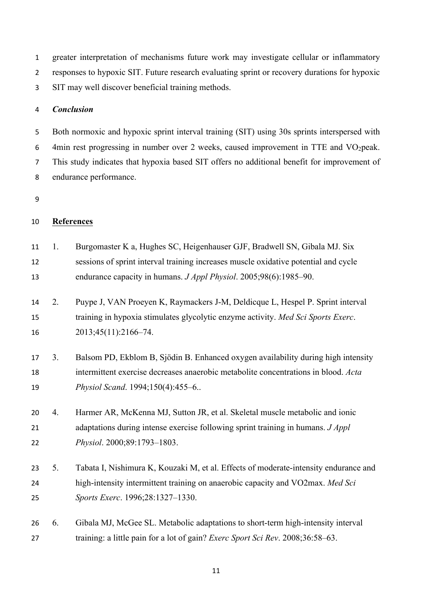greater interpretation of mechanisms future work may investigate cellular or inflammatory responses to hypoxic SIT. Future research evaluating sprint or recovery durations for hypoxic SIT may well discover beneficial training methods.

#### *Conclusion*

 Both normoxic and hypoxic sprint interval training (SIT) using 30s sprints interspersed with 6 4min rest progressing in number over 2 weeks, caused improvement in TTE and  $VO<sub>2</sub>peak$ . This study indicates that hypoxia based SIT offers no additional benefit for improvement of endurance performance.

## **References**

 1. Burgomaster K a, Hughes SC, Heigenhauser GJF, Bradwell SN, Gibala MJ. Six sessions of sprint interval training increases muscle oxidative potential and cycle endurance capacity in humans. *J Appl Physiol*. 2005;98(6):1985–90.

 2. Puype J, VAN Proeyen K, Raymackers J-M, Deldicque L, Hespel P. Sprint interval training in hypoxia stimulates glycolytic enzyme activity. *Med Sci Sports Exerc*. 2013;45(11):2166–74.

# 3. Balsom PD, Ekblom B, Sjödin B. Enhanced oxygen availability during high intensity intermittent exercise decreases anaerobic metabolite concentrations in blood. *Acta Physiol Scand*. 1994;150(4):455–6..

 4. Harmer AR, McKenna MJ, Sutton JR, et al. Skeletal muscle metabolic and ionic adaptations during intense exercise following sprint training in humans. *J Appl Physiol*. 2000;89:1793–1803.

 5. Tabata I, Nishimura K, Kouzaki M, et al. Effects of moderate-intensity endurance and high-intensity intermittent training on anaerobic capacity and VO2max. *Med Sci Sports Exerc*. 1996;28:1327–1330.

 6. Gibala MJ, McGee SL. Metabolic adaptations to short-term high-intensity interval training: a little pain for a lot of gain? *Exerc Sport Sci Rev*. 2008;36:58–63.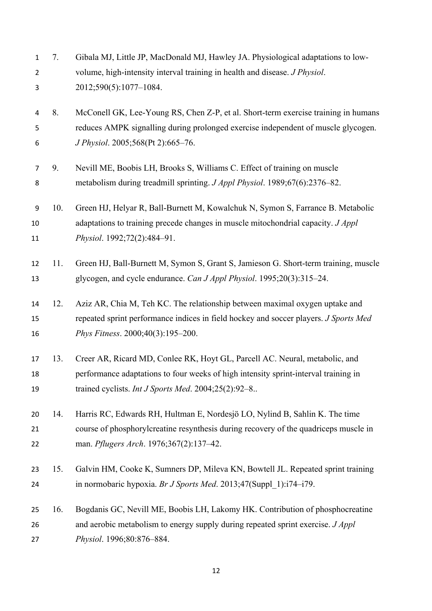| $\mathbf{1}$<br>$\overline{2}$<br>3 | 7.  | Gibala MJ, Little JP, MacDonald MJ, Hawley JA. Physiological adaptations to low-<br>volume, high-intensity interval training in health and disease. J Physiol.<br>2012;590(5):1077-1084.                                  |
|-------------------------------------|-----|---------------------------------------------------------------------------------------------------------------------------------------------------------------------------------------------------------------------------|
| 4                                   | 8.  | McConell GK, Lee-Young RS, Chen Z-P, et al. Short-term exercise training in humans                                                                                                                                        |
| 5<br>6                              |     | reduces AMPK signalling during prolonged exercise independent of muscle glycogen.<br>J Physiol. 2005;568(Pt 2):665-76.                                                                                                    |
| $\overline{7}$                      | 9.  | Nevill ME, Boobis LH, Brooks S, Williams C. Effect of training on muscle                                                                                                                                                  |
| 8                                   |     | metabolism during treadmill sprinting. J Appl Physiol. 1989;67(6):2376-82.                                                                                                                                                |
| 9<br>10<br>11                       | 10. | Green HJ, Helyar R, Ball-Burnett M, Kowalchuk N, Symon S, Farrance B. Metabolic<br>adaptations to training precede changes in muscle mitochondrial capacity. J Appl<br>Physiol. 1992;72(2):484-91.                        |
| 12<br>13                            | 11. | Green HJ, Ball-Burnett M, Symon S, Grant S, Jamieson G. Short-term training, muscle<br>glycogen, and cycle endurance. Can J Appl Physiol. 1995;20(3):315-24.                                                              |
| 14<br>15<br>16                      | 12. | Aziz AR, Chia M, Teh KC. The relationship between maximal oxygen uptake and<br>repeated sprint performance indices in field hockey and soccer players. J Sports Med<br>Phys Fitness. 2000;40(3):195-200.                  |
| 17<br>18<br>19                      | 13. | Creer AR, Ricard MD, Conlee RK, Hoyt GL, Parcell AC. Neural, metabolic, and<br>performance adaptations to four weeks of high intensity sprint-interval training in<br>trained cyclists. Int J Sports Med. 2004;25(2):92-8 |
| 20<br>21<br>22                      | 14. | Harris RC, Edwards RH, Hultman E, Nordesjö LO, Nylind B, Sahlin K. The time<br>course of phosphorylcreatine resynthesis during recovery of the quadriceps muscle in<br>man. Pflugers Arch. 1976;367(2):137-42.            |
| 23<br>24                            | 15. | Galvin HM, Cooke K, Sumners DP, Mileva KN, Bowtell JL. Repeated sprint training<br>in normobaric hypoxia. Br J Sports Med. 2013;47(Suppl 1):i74-i79.                                                                      |
| 25<br>26<br>27                      | 16. | Bogdanis GC, Nevill ME, Boobis LH, Lakomy HK. Contribution of phosphocreatine<br>and aerobic metabolism to energy supply during repeated sprint exercise. J Appl<br>Physiol. 1996;80:876-884.                             |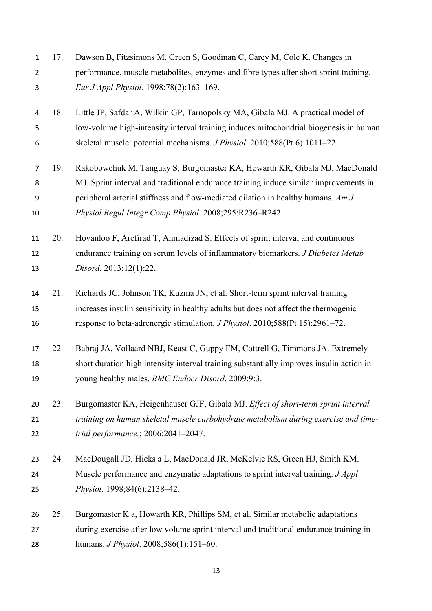| $\mathbf{1}$   | 17. | Dawson B, Fitzsimons M, Green S, Goodman C, Carey M, Cole K. Changes in                  |
|----------------|-----|------------------------------------------------------------------------------------------|
| $\overline{2}$ |     | performance, muscle metabolites, enzymes and fibre types after short sprint training.    |
| 3              |     | Eur J Appl Physiol. 1998;78(2):163-169.                                                  |
| 4              | 18. | Little JP, Safdar A, Wilkin GP, Tarnopolsky MA, Gibala MJ. A practical model of          |
| 5              |     | low-volume high-intensity interval training induces mitochondrial biogenesis in human    |
| 6              |     | skeletal muscle: potential mechanisms. J Physiol. 2010;588(Pt 6):1011-22.                |
| $\overline{7}$ | 19. | Rakobowchuk M, Tanguay S, Burgomaster KA, Howarth KR, Gibala MJ, MacDonald               |
| 8              |     | MJ. Sprint interval and traditional endurance training induce similar improvements in    |
| 9              |     | peripheral arterial stiffness and flow-mediated dilation in healthy humans. Am J         |
| 10             |     | Physiol Regul Integr Comp Physiol. 2008;295:R236-R242.                                   |
| 11             | 20. | Hovanloo F, Arefirad T, Ahmadizad S. Effects of sprint interval and continuous           |
| 12             |     | endurance training on serum levels of inflammatory biomarkers. J Diabetes Metab          |
| 13             |     | Disord. 2013;12(1):22.                                                                   |
| 14             | 21. | Richards JC, Johnson TK, Kuzma JN, et al. Short-term sprint interval training            |
| 15             |     | increases insulin sensitivity in healthy adults but does not affect the thermogenic      |
| 16             |     | response to beta-adrenergic stimulation. <i>J Physiol</i> . 2010;588(Pt 15):2961–72.     |
| 17             | 22. | Babraj JA, Vollaard NBJ, Keast C, Guppy FM, Cottrell G, Timmons JA. Extremely            |
| 18             |     | short duration high intensity interval training substantially improves insulin action in |
| 19             |     | young healthy males. BMC Endocr Disord. 2009;9:3.                                        |
| 20             | 23. | Burgomaster KA, Heigenhauser GJF, Gibala MJ. Effect of short-term sprint interval        |
| 21             |     | training on human skeletal muscle carbohydrate metabolism during exercise and time-      |
| 22             |     | trial performance.; 2006:2041-2047.                                                      |
| 23             | 24. | MacDougall JD, Hicks a L, MacDonald JR, McKelvie RS, Green HJ, Smith KM.                 |
| 24             |     | Muscle performance and enzymatic adaptations to sprint interval training. J Appl         |
| 25             |     | Physiol. 1998;84(6):2138-42.                                                             |
| 26             | 25. | Burgomaster K a, Howarth KR, Phillips SM, et al. Similar metabolic adaptations           |
| 27             |     | during exercise after low volume sprint interval and traditional endurance training in   |
| 28             |     | humans. <i>J Physiol.</i> 2008;586(1):151-60.                                            |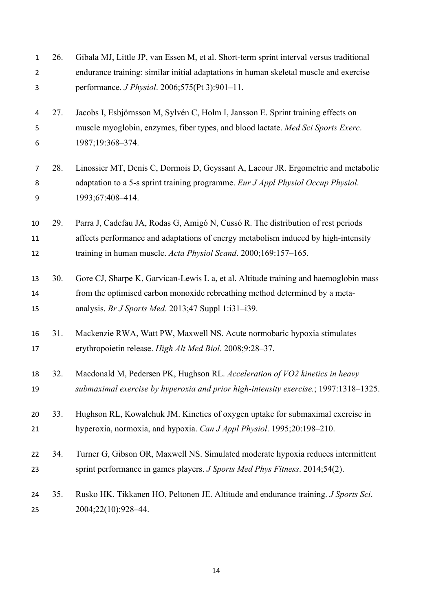| $\mathbf 1$    | 26. | Gibala MJ, Little JP, van Essen M, et al. Short-term sprint interval versus traditional |
|----------------|-----|-----------------------------------------------------------------------------------------|
| $\overline{2}$ |     | endurance training: similar initial adaptations in human skeletal muscle and exercise   |
| 3              |     | performance. <i>J Physiol</i> . 2006;575(Pt 3):901-11.                                  |
| 4              | 27. | Jacobs I, Esbjörnsson M, Sylvén C, Holm I, Jansson E. Sprint training effects on        |
| 5              |     | muscle myoglobin, enzymes, fiber types, and blood lactate. Med Sci Sports Exerc.        |
| 6              |     | 1987;19:368-374.                                                                        |
| 7              | 28. | Linossier MT, Denis C, Dormois D, Geyssant A, Lacour JR. Ergometric and metabolic       |
| 8              |     | adaptation to a 5-s sprint training programme. Eur J Appl Physiol Occup Physiol.        |
| 9              |     | 1993;67:408-414.                                                                        |
| 10             | 29. | Parra J, Cadefau JA, Rodas G, Amigó N, Cussó R. The distribution of rest periods        |
| 11             |     | affects performance and adaptations of energy metabolism induced by high-intensity      |
| 12             |     | training in human muscle. Acta Physiol Scand. 2000;169:157-165.                         |
| 13             | 30. | Gore CJ, Sharpe K, Garvican-Lewis L a, et al. Altitude training and haemoglobin mass    |
| 14             |     | from the optimised carbon monoxide rebreathing method determined by a meta-             |
| 15             |     | analysis. Br J Sports Med. 2013;47 Suppl 1:131-139.                                     |
| 16             | 31. | Mackenzie RWA, Watt PW, Maxwell NS. Acute normobaric hypoxia stimulates                 |
| 17             |     | erythropoietin release. High Alt Med Biol. 2008;9:28-37.                                |
| 18             | 32. | Macdonald M, Pedersen PK, Hughson RL. Acceleration of VO2 kinetics in heavy             |
| 19             |     | submaximal exercise by hyperoxia and prior high-intensity exercise.; 1997:1318-1325.    |
| 20             | 33. | Hughson RL, Kowalchuk JM. Kinetics of oxygen uptake for submaximal exercise in          |
| 21             |     | hyperoxia, normoxia, and hypoxia. Can J Appl Physiol. 1995;20:198-210.                  |
| 22             | 34. | Turner G, Gibson OR, Maxwell NS. Simulated moderate hypoxia reduces intermittent        |
| 23             |     | sprint performance in games players. J Sports Med Phys Fitness. 2014;54(2).             |
| 24             | 35. | Rusko HK, Tikkanen HO, Peltonen JE. Altitude and endurance training. J Sports Sci.      |
| 25             |     | 2004;22(10):928-44.                                                                     |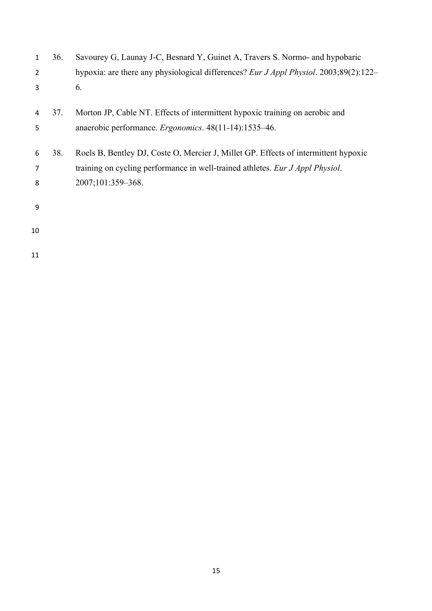| 1  | 36. | Savourey G, Launay J-C, Besnard Y, Guinet A, Travers S. Normo- and hypobaric          |
|----|-----|---------------------------------------------------------------------------------------|
| 2  |     | hypoxia: are there any physiological differences? Eur J Appl Physiol. 2003;89(2):122– |
| 3  |     | 6.                                                                                    |
| 4  | 37. | Morton JP, Cable NT. Effects of intermittent hypoxic training on aerobic and          |
| 5  |     | anaerobic performance. Ergonomics. 48(11-14):1535-46.                                 |
| 6  | 38. | Roels B, Bentley DJ, Coste O, Mercier J, Millet GP. Effects of intermittent hypoxic   |
| 7  |     | training on cycling performance in well-trained athletes. Eur J Appl Physiol.         |
| 8  |     | 2007;101:359-368.                                                                     |
| 9  |     |                                                                                       |
| 10 |     |                                                                                       |
| 11 |     |                                                                                       |